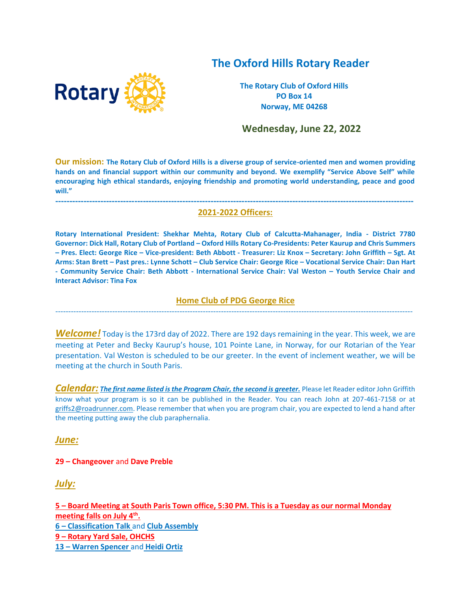# **The Oxford Hills Rotary Reader**



**The Rotary Club of Oxford Hills PO Box 14 Norway, ME 04268**

 **Wednesday, June 22, 2022**

**Our mission: The Rotary Club of Oxford Hills is a diverse group of service-oriented men and women providing hands on and financial support within our community and beyond. We exemplify "Service Above Self" while encouraging high ethical standards, enjoying friendship and promoting world understanding, peace and good will."**

#### **------------------------------------------------------------------------------------------------------------------------------- 2021-2022 Officers:**

**Rotary International President: Shekhar Mehta, Rotary Club of Calcutta-Mahanager, India - District 7780 Governor: Dick Hall, Rotary Club of Portland – Oxford Hills Rotary Co-Presidents: Peter Kaurup and Chris Summers – Pres. Elect: George Rice – Vice-president: Beth Abbott - Treasurer: Liz Knox – Secretary: John Griffith – Sgt. At Arms: Stan Brett – Past pres.: Lynne Schott – Club Service Chair: George Rice – Vocational Service Chair: Dan Hart - Community Service Chair: Beth Abbott - International Service Chair: Val Weston – Youth Service Chair and Interact Advisor: Tina Fox**

#### **Home Club of PDG George Rice**  ------------------------------------------------------------------------------------------------------------------------------------------

*Welcome!* Today is the 173rd day of 2022. There are 192 days remaining in the year. This week, we are meeting at Peter and Becky Kaurup's house, 101 Pointe Lane, in Norway, for our Rotarian of the Year presentation. Val Weston is scheduled to be our greeter. In the event of inclement weather, we will be meeting at the church in South Paris.

*Calendar: The first name listed is the Program Chair, the second is greeter.* Please let Reader editor John Griffith know what your program is so it can be published in the Reader. You can reach John at 207-461-7158 or at [griffs2@roadrunner.com.](mailto:griffs2@roadrunner.com) Please remember that when you are program chair, you are expected to lend a hand after the meeting putting away the club paraphernalia.

*June:*

#### **29 – Changeover** and **Dave Preble**

*July:*

**– Board Meeting at South Paris Town office, 5:30 PM. This is a Tuesday as our normal Monday meeting falls on July 4th . – Classification Talk** and **Club Assembly – Rotary Yard Sale, OHCHS – Warren Spencer** and **Heidi Ortiz**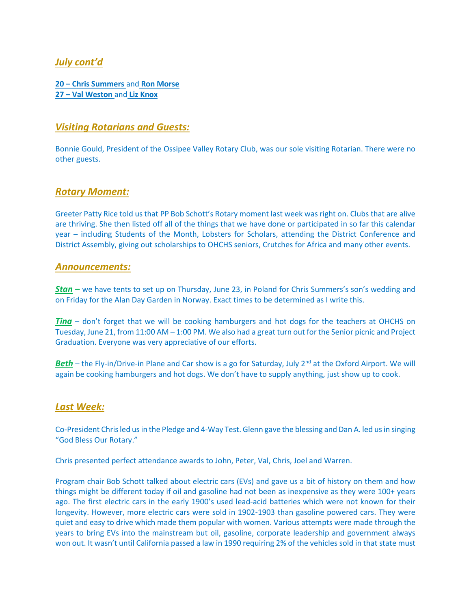# *July cont'd*

**20 – Chris Summers** and **Ron Morse 27 – Val Weston** and **Liz Knox**

### *Visiting Rotarians and Guests:*

Bonnie Gould, President of the Ossipee Valley Rotary Club, was our sole visiting Rotarian. There were no other guests.

#### *Rotary Moment:*

Greeter Patty Rice told us that PP Bob Schott's Rotary moment last week was right on. Clubs that are alive are thriving. She then listed off all of the things that we have done or participated in so far this calendar year – including Students of the Month, Lobsters for Scholars, attending the District Conference and District Assembly, giving out scholarships to OHCHS seniors, Crutches for Africa and many other events.

#### *Announcements:*

*Stan –* we have tents to set up on Thursday, June 23, in Poland for Chris Summers's son's wedding and on Friday for the Alan Day Garden in Norway. Exact times to be determined as I write this.

*Tina* – don't forget that we will be cooking hamburgers and hot dogs for the teachers at OHCHS on Tuesday, June 21, from 11:00 AM – 1:00 PM. We also had a great turn out for the Senior picnic and Project Graduation. Everyone was very appreciative of our efforts.

**Beth** – the Fly-in/Drive-in Plane and Car show is a go for Saturday, July 2<sup>nd</sup> at the Oxford Airport. We will again be cooking hamburgers and hot dogs. We don't have to supply anything, just show up to cook.

#### *Last Week:*

Co-President Chris led us in the Pledge and 4-Way Test. Glenn gave the blessing and Dan A. led us in singing "God Bless Our Rotary."

Chris presented perfect attendance awards to John, Peter, Val, Chris, Joel and Warren.

Program chair Bob Schott talked about electric cars (EVs) and gave us a bit of history on them and how things might be different today if oil and gasoline had not been as inexpensive as they were 100+ years ago. The first electric cars in the early 1900's used lead-acid batteries which were not known for their longevity. However, more electric cars were sold in 1902-1903 than gasoline powered cars. They were quiet and easy to drive which made them popular with women. Various attempts were made through the years to bring EVs into the mainstream but oil, gasoline, corporate leadership and government always won out. It wasn't until California passed a law in 1990 requiring 2% of the vehicles sold in that state must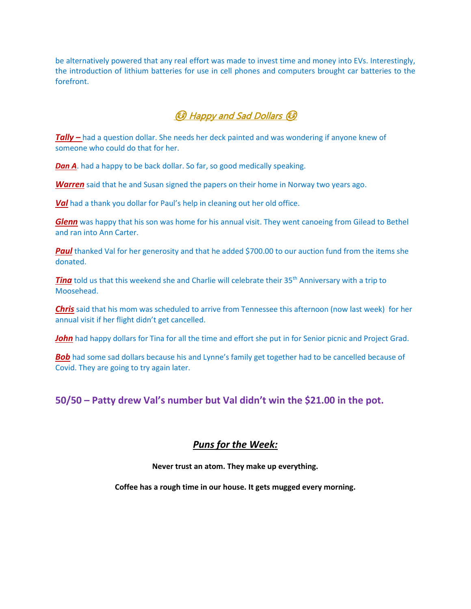be alternatively powered that any real effort was made to invest time and money into EVs. Interestingly, the introduction of lithium batteries for use in cell phones and computers brought car batteries to the forefront.

# ☺ Happy and Sad Dollars ☺

*Tally –* had a question dollar. She needs her deck painted and was wondering if anyone knew of someone who could do that for her.

**Dan A**. had a happy to be back dollar. So far, so good medically speaking.

*Warren* said that he and Susan signed the papers on their home in Norway two years ago.

*Val* had a thank you dollar for Paul's help in cleaning out her old office.

*Glenn* was happy that his son was home for his annual visit. They went canoeing from Gilead to Bethel and ran into Ann Carter.

**Paul** thanked Val for her generosity and that he added \$700.00 to our auction fund from the items she donated.

*Tina* told us that this weekend she and Charlie will celebrate their 35<sup>th</sup> Anniversary with a trip to Moosehead.

*Chris* said that his mom was scheduled to arrive from Tennessee this afternoon (now last week) for her annual visit if her flight didn't get cancelled.

**John** had happy dollars for Tina for all the time and effort she put in for Senior picnic and Project Grad.

**Bob** had some sad dollars because his and Lynne's family get together had to be cancelled because of Covid. They are going to try again later.

# **50/50 – Patty drew Val's number but Val didn't win the \$21.00 in the pot.**

# *Puns for the Week:*

**Never trust an atom. They make up everything.** 

**Coffee has a rough time in our house. It gets mugged every morning.**